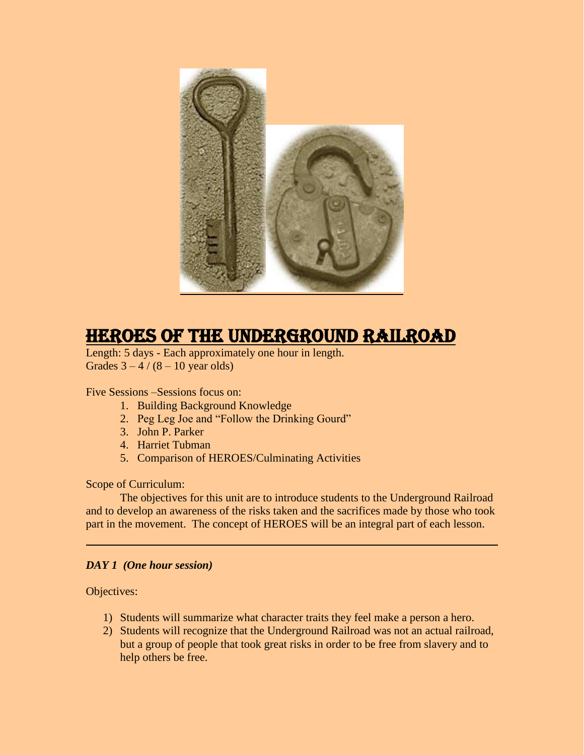

# HEROES of the Underground Railroad

Length: 5 days - Each approximately one hour in length. Grades  $3 - 4 / (8 - 10$  year olds)

Five Sessions –Sessions focus on:

- 1. Building Background Knowledge
- 2. Peg Leg Joe and "Follow the Drinking Gourd"
- 3. John P. Parker
- 4. Harriet Tubman
- 5. Comparison of HEROES/Culminating Activities

Scope of Curriculum:

The objectives for this unit are to introduce students to the Underground Railroad and to develop an awareness of the risks taken and the sacrifices made by those who took part in the movement. The concept of HEROES will be an integral part of each lesson.

#### *DAY 1 (One hour session)*

Objectives:

- 1) Students will summarize what character traits they feel make a person a hero.
- 2) Students will recognize that the Underground Railroad was not an actual railroad, but a group of people that took great risks in order to be free from slavery and to help others be free.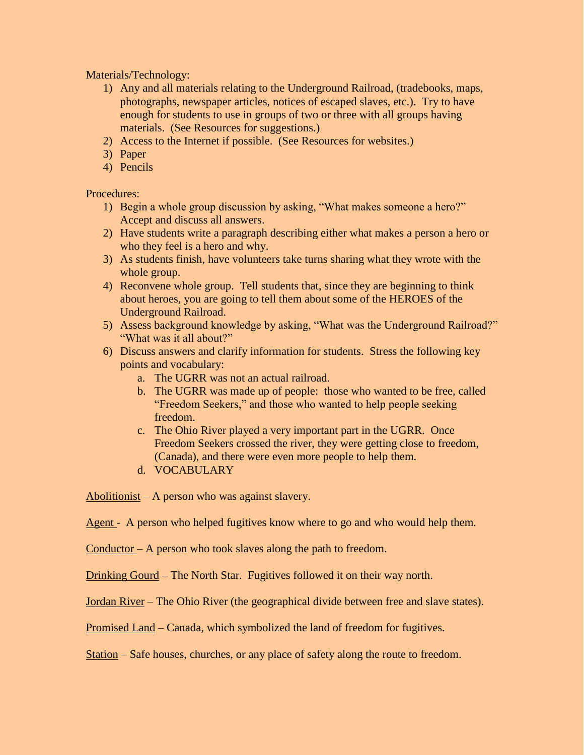Materials/Technology:

- 1) Any and all materials relating to the Underground Railroad, (tradebooks, maps, photographs, newspaper articles, notices of escaped slaves, etc.). Try to have enough for students to use in groups of two or three with all groups having materials. (See Resources for suggestions.)
- 2) Access to the Internet if possible. (See Resources for websites.)
- 3) Paper
- 4) Pencils

Procedures:

- 1) Begin a whole group discussion by asking, "What makes someone a hero?" Accept and discuss all answers.
- 2) Have students write a paragraph describing either what makes a person a hero or who they feel is a hero and why.
- 3) As students finish, have volunteers take turns sharing what they wrote with the whole group.
- 4) Reconvene whole group. Tell students that, since they are beginning to think about heroes, you are going to tell them about some of the HEROES of the Underground Railroad.
- 5) Assess background knowledge by asking, "What was the Underground Railroad?" "What was it all about?"
- 6) Discuss answers and clarify information for students. Stress the following key points and vocabulary:
	- a. The UGRR was not an actual railroad.
	- b. The UGRR was made up of people: those who wanted to be free, called "Freedom Seekers," and those who wanted to help people seeking freedom.
	- c. The Ohio River played a very important part in the UGRR. Once Freedom Seekers crossed the river, they were getting close to freedom, (Canada), and there were even more people to help them.
	- d. VOCABULARY

Abolitionist – A person who was against slavery.

Agent - A person who helped fugitives know where to go and who would help them.

Conductor – A person who took slaves along the path to freedom.

Drinking Gourd – The North Star. Fugitives followed it on their way north.

Jordan River – The Ohio River (the geographical divide between free and slave states).

Promised Land – Canada, which symbolized the land of freedom for fugitives.

Station – Safe houses, churches, or any place of safety along the route to freedom.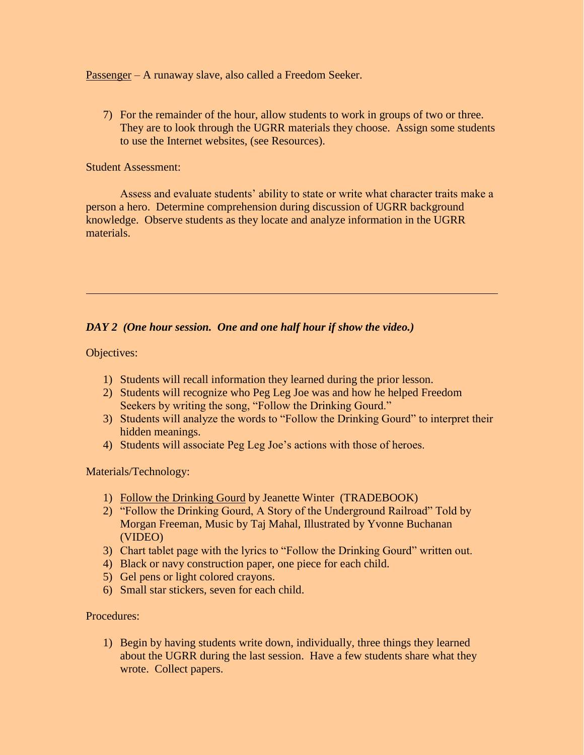Passenger – A runaway slave, also called a Freedom Seeker.

7) For the remainder of the hour, allow students to work in groups of two or three. They are to look through the UGRR materials they choose. Assign some students to use the Internet websites, (see Resources).

#### Student Assessment:

Assess and evaluate students' ability to state or write what character traits make a person a hero. Determine comprehension during discussion of UGRR background knowledge. Observe students as they locate and analyze information in the UGRR materials.

### *DAY 2 (One hour session. One and one half hour if show the video.)*

Objectives:

- 1) Students will recall information they learned during the prior lesson.
- 2) Students will recognize who Peg Leg Joe was and how he helped Freedom Seekers by writing the song, "Follow the Drinking Gourd."
- 3) Students will analyze the words to "Follow the Drinking Gourd" to interpret their hidden meanings.
- 4) Students will associate Peg Leg Joe's actions with those of heroes.

Materials/Technology:

- 1) Follow the Drinking Gourd by Jeanette Winter (TRADEBOOK)
- 2) "Follow the Drinking Gourd, A Story of the Underground Railroad" Told by Morgan Freeman, Music by Taj Mahal, Illustrated by Yvonne Buchanan (VIDEO)
- 3) Chart tablet page with the lyrics to "Follow the Drinking Gourd" written out.
- 4) Black or navy construction paper, one piece for each child.
- 5) Gel pens or light colored crayons.
- 6) Small star stickers, seven for each child.

Procedures:

1) Begin by having students write down, individually, three things they learned about the UGRR during the last session. Have a few students share what they wrote. Collect papers.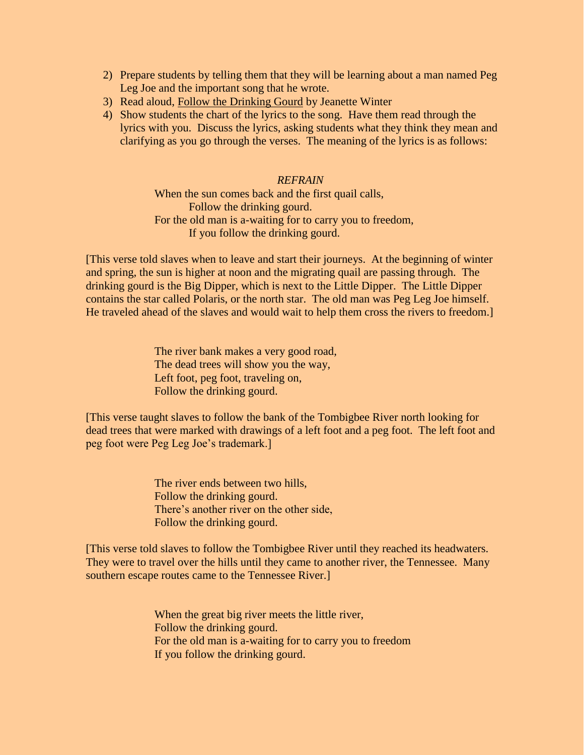- 2) Prepare students by telling them that they will be learning about a man named Peg Leg Joe and the important song that he wrote.
- 3) Read aloud, Follow the Drinking Gourd by Jeanette Winter
- 4) Show students the chart of the lyrics to the song. Have them read through the lyrics with you. Discuss the lyrics, asking students what they think they mean and clarifying as you go through the verses. The meaning of the lyrics is as follows:

#### *REFRAIN*

When the sun comes back and the first quail calls, Follow the drinking gourd. For the old man is a-waiting for to carry you to freedom, If you follow the drinking gourd.

[This verse told slaves when to leave and start their journeys. At the beginning of winter and spring, the sun is higher at noon and the migrating quail are passing through. The drinking gourd is the Big Dipper, which is next to the Little Dipper. The Little Dipper contains the star called Polaris, or the north star. The old man was Peg Leg Joe himself. He traveled ahead of the slaves and would wait to help them cross the rivers to freedom.]

> The river bank makes a very good road, The dead trees will show you the way, Left foot, peg foot, traveling on, Follow the drinking gourd.

[This verse taught slaves to follow the bank of the Tombigbee River north looking for dead trees that were marked with drawings of a left foot and a peg foot. The left foot and peg foot were Peg Leg Joe's trademark.]

> The river ends between two hills, Follow the drinking gourd. There's another river on the other side, Follow the drinking gourd.

[This verse told slaves to follow the Tombigbee River until they reached its headwaters. They were to travel over the hills until they came to another river, the Tennessee. Many southern escape routes came to the Tennessee River.]

> When the great big river meets the little river, Follow the drinking gourd. For the old man is a-waiting for to carry you to freedom If you follow the drinking gourd.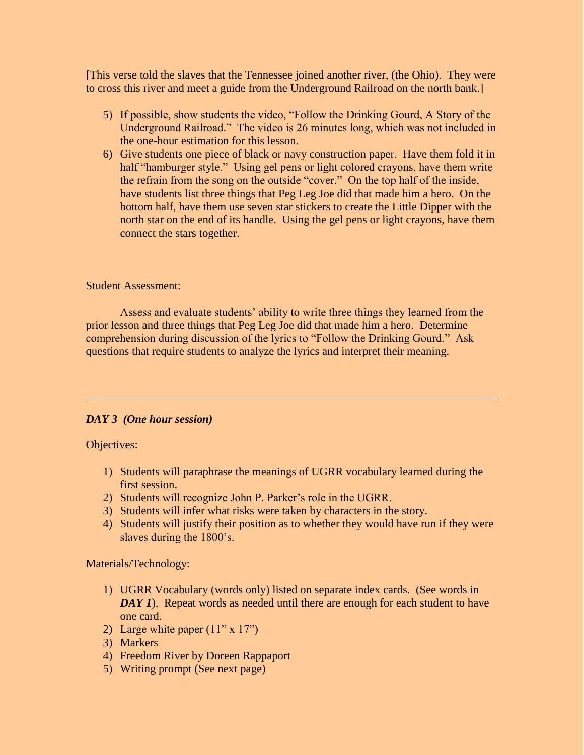[This verse told the slaves that the Tennessee joined another river, (the Ohio). They were to cross this river and meet a guide from the Underground Railroad on the north bank.]

- 5) If possible, show students the video, "Follow the Drinking Gourd, A Story of the Underground Railroad." The video is 26 minutes long, which was not included in the one-hour estimation for this lesson.
- 6) Give students one piece of black or navy construction paper. Have them fold it in half "hamburger style." Using gel pens or light colored crayons, have them write the refrain from the song on the outside "cover." On the top half of the inside, have students list three things that Peg Leg Joe did that made him a hero. On the bottom half, have them use seven star stickers to create the Little Dipper with the north star on the end of its handle. Using the gel pens or light crayons, have them connect the stars together.

#### Student Assessment:

Assess and evaluate students' ability to write three things they learned from the prior lesson and three things that Peg Leg Joe did that made him a hero. Determine comprehension during discussion of the lyrics to "Follow the Drinking Gourd." Ask questions that require students to analyze the lyrics and interpret their meaning.

#### *DAY 3 (One hour session)*

#### Objectives:

- 1) Students will paraphrase the meanings of UGRR vocabulary learned during the first session.
- 2) Students will recognize John P. Parker's role in the UGRR.
- 3) Students will infer what risks were taken by characters in the story.
- 4) Students will justify their position as to whether they would have run if they were slaves during the 1800's.

Materials/Technology:

- 1) UGRR Vocabulary (words only) listed on separate index cards. (See words in *DAY 1*). Repeat words as needed until there are enough for each student to have one card.
- 2) Large white paper  $(11" \times 17")$
- 3) Markers
- 4) Freedom River by Doreen Rappaport
- 5) Writing prompt (See next page)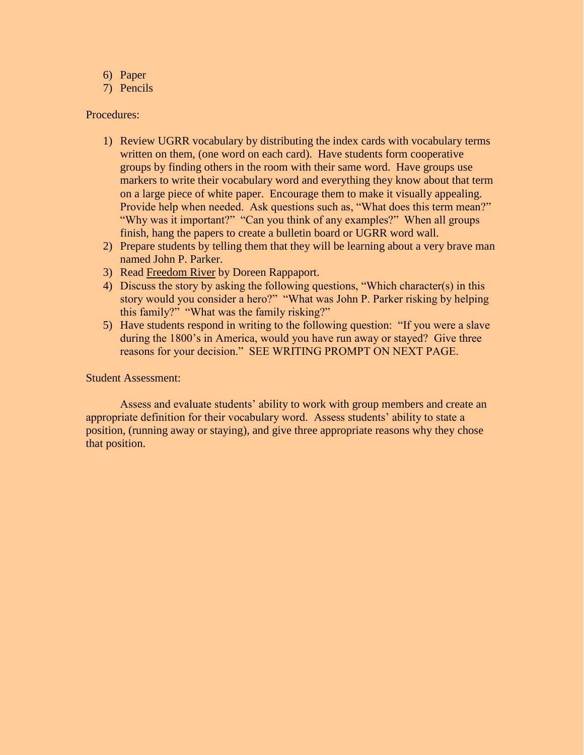- 6) Paper
- 7) Pencils

## Procedures:

- 1) Review UGRR vocabulary by distributing the index cards with vocabulary terms written on them, (one word on each card). Have students form cooperative groups by finding others in the room with their same word. Have groups use markers to write their vocabulary word and everything they know about that term on a large piece of white paper. Encourage them to make it visually appealing. Provide help when needed. Ask questions such as, "What does this term mean?" "Why was it important?" "Can you think of any examples?" When all groups finish, hang the papers to create a bulletin board or UGRR word wall.
- 2) Prepare students by telling them that they will be learning about a very brave man named John P. Parker.
- 3) Read Freedom River by Doreen Rappaport.
- 4) Discuss the story by asking the following questions, "Which character(s) in this story would you consider a hero?" "What was John P. Parker risking by helping this family?" "What was the family risking?"
- 5) Have students respond in writing to the following question: "If you were a slave during the 1800's in America, would you have run away or stayed? Give three reasons for your decision." SEE WRITING PROMPT ON NEXT PAGE.

#### Student Assessment:

Assess and evaluate students' ability to work with group members and create an appropriate definition for their vocabulary word. Assess students' ability to state a position, (running away or staying), and give three appropriate reasons why they chose that position.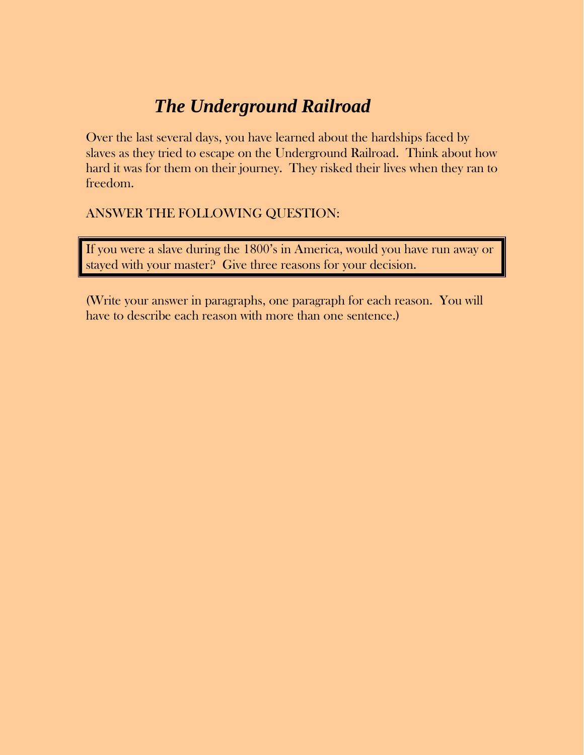# *The Underground Railroad*

Over the last several days, you have learned about the hardships faced by slaves as they tried to escape on the Underground Railroad. Think about how hard it was for them on their journey. They risked their lives when they ran to freedom.

# ANSWER THE FOLLOWING QUESTION:

If you were a slave during the 1800's in America, would you have run away or stayed with your master? Give three reasons for your decision.

(Write your answer in paragraphs, one paragraph for each reason. You will have to describe each reason with more than one sentence.)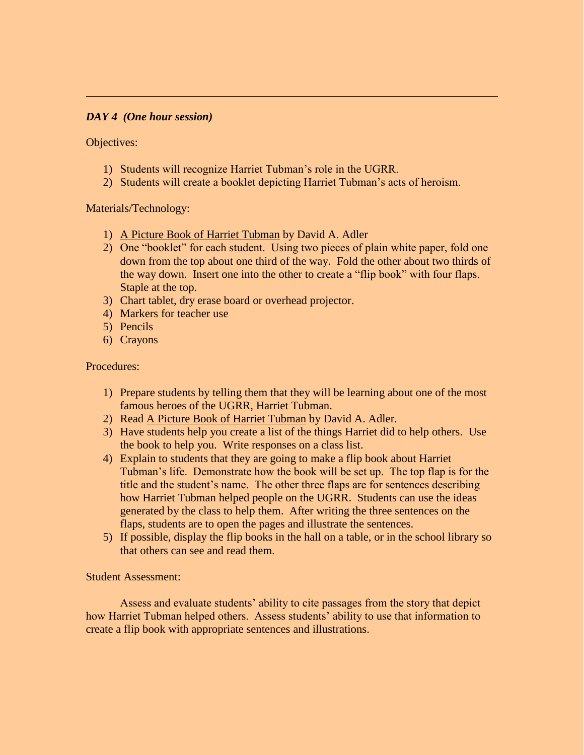#### *DAY 4 (One hour session)*

Objectives:

- 1) Students will recognize Harriet Tubman's role in the UGRR.
- 2) Students will create a booklet depicting Harriet Tubman's acts of heroism.

Materials/Technology:

- 1) A Picture Book of Harriet Tubman by David A. Adler
- 2) One "booklet" for each student. Using two pieces of plain white paper, fold one down from the top about one third of the way. Fold the other about two thirds of the way down. Insert one into the other to create a "flip book" with four flaps. Staple at the top.
- 3) Chart tablet, dry erase board or overhead projector.
- 4) Markers for teacher use
- 5) Pencils
- 6) Crayons

Procedures:

- 1) Prepare students by telling them that they will be learning about one of the most famous heroes of the UGRR, Harriet Tubman.
- 2) Read A Picture Book of Harriet Tubman by David A. Adler.
- 3) Have students help you create a list of the things Harriet did to help others. Use the book to help you. Write responses on a class list.
- 4) Explain to students that they are going to make a flip book about Harriet Tubman's life. Demonstrate how the book will be set up. The top flap is for the title and the student's name. The other three flaps are for sentences describing how Harriet Tubman helped people on the UGRR. Students can use the ideas generated by the class to help them. After writing the three sentences on the flaps, students are to open the pages and illustrate the sentences.
- 5) If possible, display the flip books in the hall on a table, or in the school library so that others can see and read them.

Student Assessment:

Assess and evaluate students' ability to cite passages from the story that depict how Harriet Tubman helped others. Assess students' ability to use that information to create a flip book with appropriate sentences and illustrations.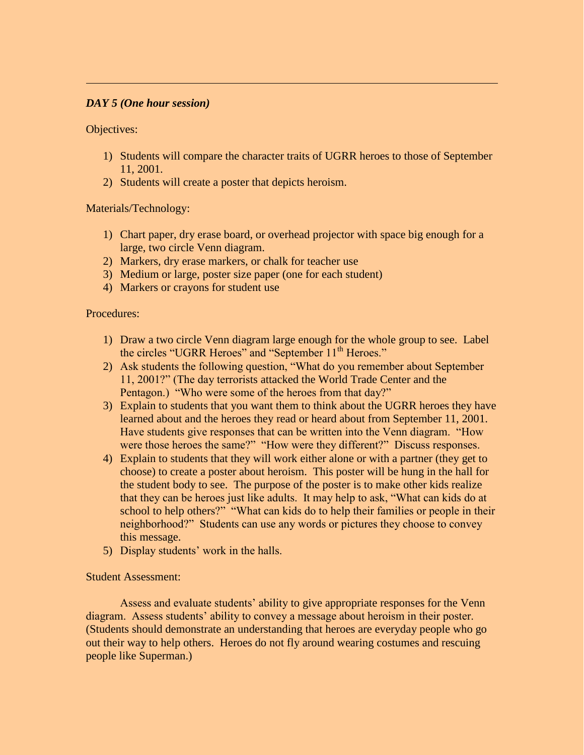#### *DAY 5 (One hour session)*

Objectives:

- 1) Students will compare the character traits of UGRR heroes to those of September 11, 2001.
- 2) Students will create a poster that depicts heroism.

#### Materials/Technology:

- 1) Chart paper, dry erase board, or overhead projector with space big enough for a large, two circle Venn diagram.
- 2) Markers, dry erase markers, or chalk for teacher use
- 3) Medium or large, poster size paper (one for each student)
- 4) Markers or crayons for student use

Procedures:

- 1) Draw a two circle Venn diagram large enough for the whole group to see. Label the circles "UGRR Heroes" and "September 11<sup>th</sup> Heroes."
- 2) Ask students the following question, "What do you remember about September 11, 2001?" (The day terrorists attacked the World Trade Center and the Pentagon.) "Who were some of the heroes from that day?"
- 3) Explain to students that you want them to think about the UGRR heroes they have learned about and the heroes they read or heard about from September 11, 2001. Have students give responses that can be written into the Venn diagram. "How were those heroes the same?" "How were they different?" Discuss responses.
- 4) Explain to students that they will work either alone or with a partner (they get to choose) to create a poster about heroism. This poster will be hung in the hall for the student body to see. The purpose of the poster is to make other kids realize that they can be heroes just like adults. It may help to ask, "What can kids do at school to help others?" "What can kids do to help their families or people in their neighborhood?" Students can use any words or pictures they choose to convey this message.
- 5) Display students' work in the halls.

#### Student Assessment:

Assess and evaluate students' ability to give appropriate responses for the Venn diagram. Assess students' ability to convey a message about heroism in their poster. (Students should demonstrate an understanding that heroes are everyday people who go out their way to help others. Heroes do not fly around wearing costumes and rescuing people like Superman.)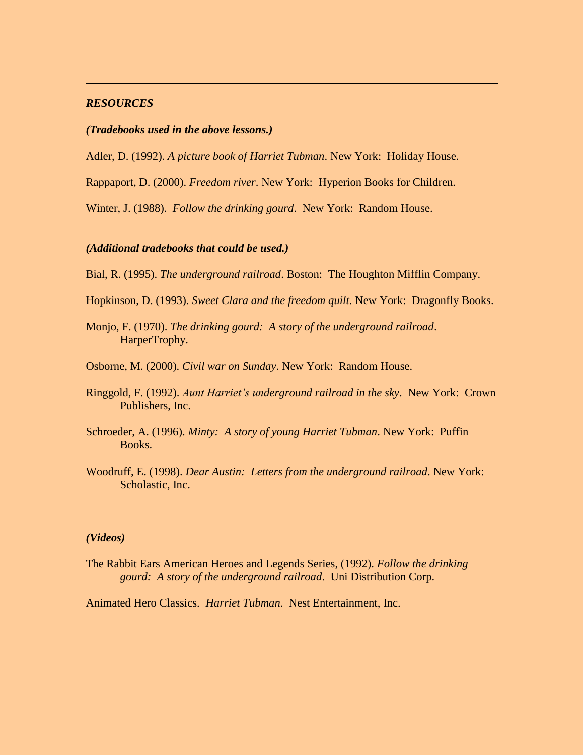#### *RESOURCES*

#### *(Tradebooks used in the above lessons.)*

Adler, D. (1992). *A picture book of Harriet Tubman*. New York: Holiday House.

Rappaport, D. (2000). *Freedom river*. New York: Hyperion Books for Children.

Winter, J. (1988). *Follow the drinking gourd*. New York: Random House.

#### *(Additional tradebooks that could be used.)*

Bial, R. (1995). *The underground railroad*. Boston: The Houghton Mifflin Company.

Hopkinson, D. (1993). *Sweet Clara and the freedom quilt*. New York: Dragonfly Books.

- Monjo, F. (1970). *The drinking gourd: A story of the underground railroad*. HarperTrophy.
- Osborne, M. (2000). *Civil war on Sunday*. New York: Random House.
- Ringgold, F. (1992). *Aunt Harriet's underground railroad in the sky*. New York: Crown Publishers, Inc.
- Schroeder, A. (1996). *Minty: A story of young Harriet Tubman*. New York: Puffin Books.
- Woodruff, E. (1998). *Dear Austin: Letters from the underground railroad*. New York: Scholastic, Inc.

#### *(Videos)*

The Rabbit Ears American Heroes and Legends Series, (1992). *Follow the drinking gourd: A story of the underground railroad*. Uni Distribution Corp.

Animated Hero Classics. *Harriet Tubman*. Nest Entertainment, Inc.